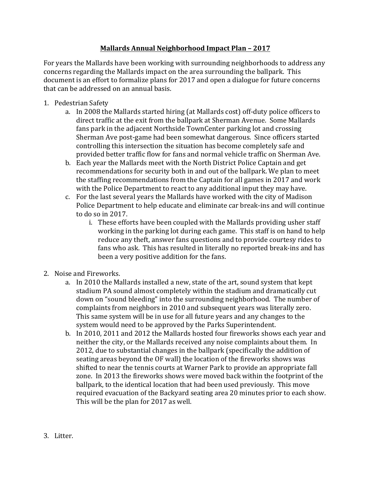## **Mallards Annual Neighborhood Impact Plan – 2017**

For years the Mallards have been working with surrounding neighborhoods to address any concerns regarding the Mallards impact on the area surrounding the ballpark. This document is an effort to formalize plans for 2017 and open a dialogue for future concerns that can be addressed on an annual basis.

- 1. Pedestrian Safety
	- a. In 2008 the Mallards started hiring (at Mallards cost) off-duty police officers to direct traffic at the exit from the ballpark at Sherman Avenue. Some Mallards fans park in the adjacent Northside TownCenter parking lot and crossing Sherman Ave post-game had been somewhat dangerous. Since officers started controlling this intersection the situation has become completely safe and provided better traffic flow for fans and normal vehicle traffic on Sherman Ave.
	- b. Each year the Mallards meet with the North District Police Captain and get recommendations for security both in and out of the ballpark. We plan to meet the staffing recommendations from the Captain for all games in 2017 and work with the Police Department to react to any additional input they may have.
	- c. For the last several years the Mallards have worked with the city of Madison Police Department to help educate and eliminate car break-ins and will continue to do so in 2017.
		- i. These efforts have been coupled with the Mallards providing usher staff working in the parking lot during each game. This staff is on hand to help reduce any theft, answer fans questions and to provide courtesy rides to fans who ask. This has resulted in literally no reported break-ins and has been a very positive addition for the fans.
- 2. Noise and Fireworks.
	- a. In 2010 the Mallards installed a new, state of the art, sound system that kept stadium PA sound almost completely within the stadium and dramatically cut down on "sound bleeding" into the surrounding neighborhood. The number of complaints from neighbors in 2010 and subsequent years was literally zero. This same system will be in use for all future years and any changes to the system would need to be approved by the Parks Superintendent.
	- b. In 2010, 2011 and 2012 the Mallards hosted four fireworks shows each year and neither the city, or the Mallards received any noise complaints about them. In 2012, due to substantial changes in the ballpark (specifically the addition of seating areas beyond the OF wall) the location of the fireworks shows was shifted to near the tennis courts at Warner Park to provide an appropriate fall zone. In 2013 the fireworks shows were moved back within the footprint of the ballpark, to the identical location that had been used previously. This move required evacuation of the Backyard seating area 20 minutes prior to each show. This will be the plan for 2017 as well.
- 3. Litter.